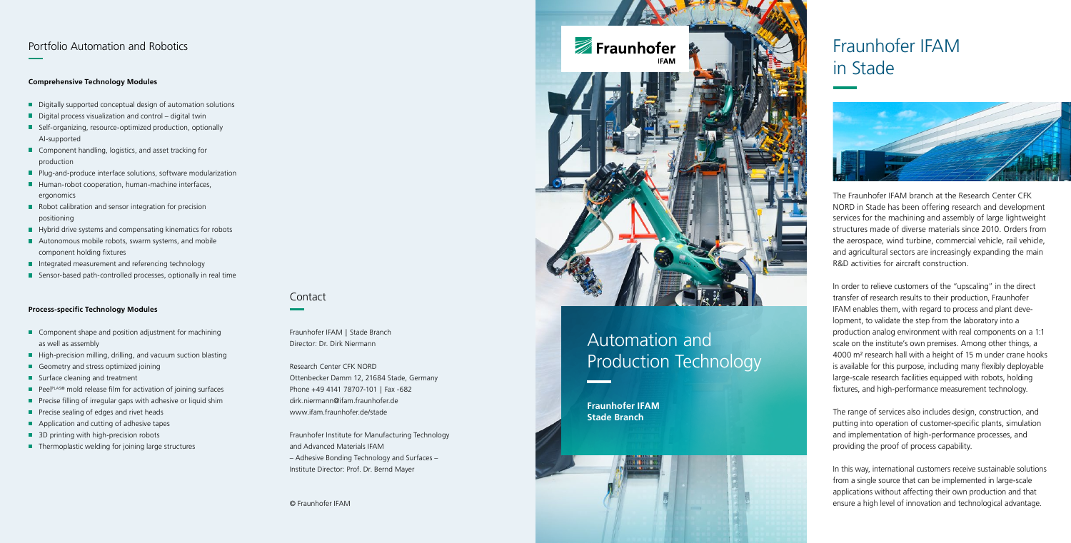## Contact

Fraunhofer IFAM | Stade Branch Director: Dr. Dirk Niermann

Research Center CFK NORD Ottenbecker Damm 12, 21684 Stade, Germany Phone +49 4141 78707-101 | Fax -682 dirk.niermann@ifam.fraunhofer.de www.ifam.fraunhofer.de/stade

Fraunhofer Institute for Manufacturing Technology and Advanced Materials IFAM – Adhesive Bonding Technology and Surfaces – Institute Director: Prof. Dr. Bernd Mayer

© Fraunhofer IFAM



# Automation and Production Technology

**Fraunhofer IFAM Stade Branch**



# Fraunhofer IFAM in Stade



## Portfolio Automation and Robotics

#### **Comprehensive Technology Modules**

- Digitally supported conceptual design of automation solutions
- $\blacksquare$  Digital process visualization and control digital twin
- Self-organizing, resource-optimized production, optionally AI-supported
- Component handling, logistics, and asset tracking for production
- **Plug-and-produce interface solutions, software modularization**
- Human-robot cooperation, human-machine interfaces, ergonomics
- Robot calibration and sensor integration for precision positioning
- Hybrid drive systems and compensating kinematics for robots
- Autonomous mobile robots, swarm systems, and mobile component holding fixtures
- Integrated measurement and referencing technology
- Sensor-based path-controlled processes, optionally in real time

#### **Process-specific Technology Modules**

- Component shape and position adjustment for machining as well as assembly
- High-precision milling, drilling, and vacuum suction blasting
- Geometry and stress optimized joining
- Surface cleaning and treatment
- Peel<sup>PLAS®</sup> mold release film for activation of joining surfaces
- $\blacksquare$  Precise filling of irregular gaps with adhesive or liquid shim
- **Precise sealing of edges and rivet heads**
- **Application and cutting of adhesive tapes**
- 3D printing with high-precision robots
- $\blacksquare$  Thermoplastic welding for joining large structures

The Fraunhofer IFAM branch at the Research Center CFK NORD in Stade has been offering research and development services for the machining and assembly of large lightweight structures made of diverse materials since 2010. Orders from the aerospace, wind turbine, commercial vehicle, rail vehicle, and agricultural sectors are increasingly expanding the main R&D activities for aircraft construction.

In order to relieve customers of the "upscaling" in the direct transfer of research results to their production, Fraunhofer IFAM enables them, with regard to process and plant deve lopment, to validate the step from the laboratory into a production analog environment with real components on a 1:1 scale on the institute's own premises. Among other things, a 4000 m² research hall with a height of 15 m under crane hooks is available for this purpose, including many flexibly deployable large-scale research facilities equipped with robots, holding fixtures, and high-performance measurement technology.

The range of services also includes design, construction, and putting into operation of customer-specific plants, simulation and implementation of high-performance processes, and providing the proof of process capability.

In this way, international customers receive sustainable solutions from a single source that can be implemented in large-scale applications without affecting their own production and that ensure a high level of innovation and technological advantage.